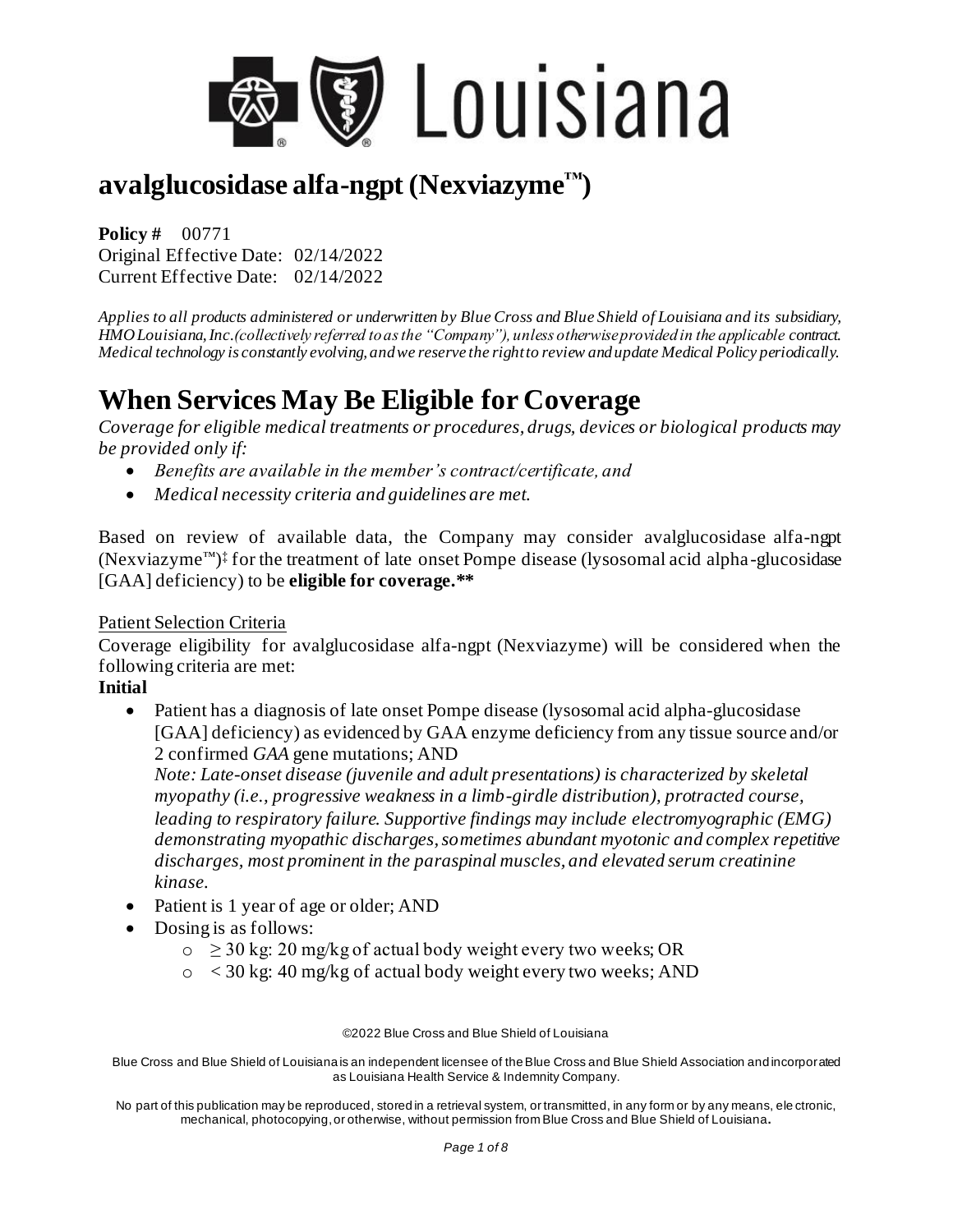

**Policy #** 00771 Original Effective Date: 02/14/2022 Current Effective Date: 02/14/2022

*Applies to all products administered or underwritten by Blue Cross and Blue Shield of Louisiana and its subsidiary, HMO Louisiana, Inc.(collectively referred to as the "Company"), unless otherwise provided in the applicable contract. Medical technology is constantly evolving, and we reserve the right to review and update Medical Policy periodically.*

# **When Services May Be Eligible for Coverage**

*Coverage for eligible medical treatments or procedures, drugs, devices or biological products may be provided only if:* 

- *Benefits are available in the member's contract/certificate, and*
- *Medical necessity criteria and guidelines are met.*

Based on review of available data, the Company may consider avalglucosidase alfa-ngpt (Nexviazyme™) ‡ for the treatment of late onset Pompe disease (lysosomal acid alpha-glucosidase [GAA] deficiency) to be **eligible for coverage.\*\***

#### Patient Selection Criteria

Coverage eligibility for avalglucosidase alfa-ngpt (Nexviazyme) will be considered when the following criteria are met:

### **Initial**

• Patient has a diagnosis of late onset Pompe disease (lysosomal acid alpha-glucosidase [GAA] deficiency) as evidenced by GAA enzyme deficiency from any tissue source and/or 2 confirmed *GAA* gene mutations; AND

*Note: Late-onset disease (juvenile and adult presentations) is characterized by skeletal myopathy (i.e., progressive weakness in a limb-girdle distribution), protracted course, leading to respiratory failure. Supportive findings may include electromyographic (EMG) demonstrating myopathic discharges, sometimes abundant myotonic and complex repetitive discharges, most prominent in the paraspinal muscles, and elevated serum creatinine kinase.* 

- Patient is 1 year of age or older; AND
- Dosing is as follows:
	- $\circ \geq 30$  kg: 20 mg/kg of actual body weight every two weeks; OR
	- $\circ$  < 30 kg: 40 mg/kg of actual body weight every two weeks; AND

©2022 Blue Cross and Blue Shield of Louisiana

Blue Cross and Blue Shield of Louisiana is an independent licensee of the Blue Cross and Blue Shield Association and incorporated as Louisiana Health Service & Indemnity Company.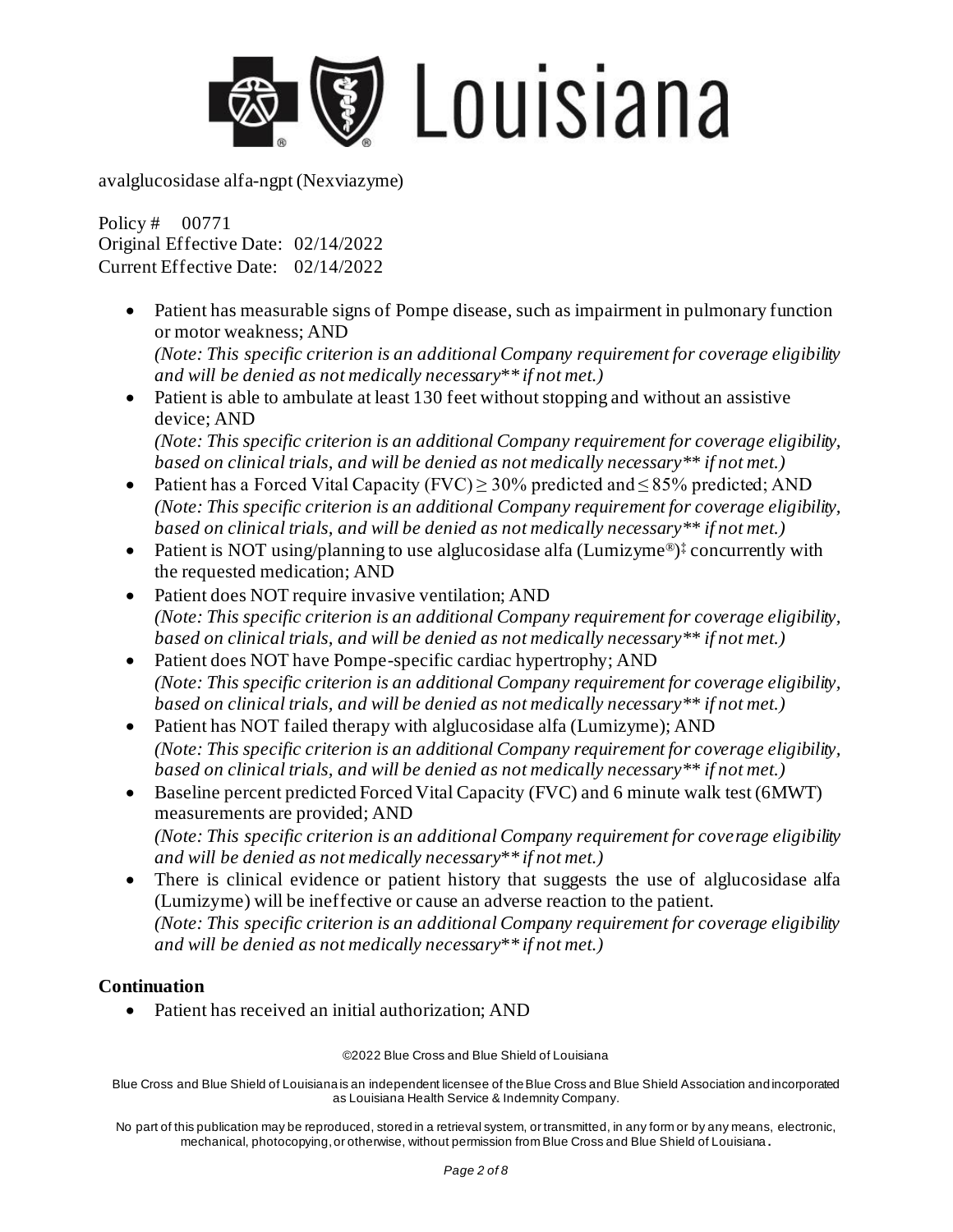

Policy # 00771 Original Effective Date: 02/14/2022 Current Effective Date: 02/14/2022

• Patient has measurable signs of Pompe disease, such as impairment in pulmonary function or motor weakness; AND

*(Note: This specific criterion is an additional Company requirement for coverage eligibility and will be denied as not medically necessary\*\* if not met.)*

• Patient is able to ambulate at least 130 feet without stopping and without an assistive device; AND *(Note: This specific criterion is an additional Company requirement for coverage eligibility,* 

*based on clinical trials, and will be denied as not medically necessary\*\* if not met.)* 

- Patient has a Forced Vital Capacity (FVC)  $\geq$  30% predicted and  $\leq$  85% predicted; AND *(Note: This specific criterion is an additional Company requirement for coverage eligibility, based on clinical trials, and will be denied as not medically necessary\*\* if not met.)*
- Patient is NOT using/planning to use alglucosidase alfa (Lumizyme®)<sup>‡</sup> concurrently with the requested medication; AND
- Patient does NOT require invasive ventilation; AND *(Note: This specific criterion is an additional Company requirement for coverage eligibility, based on clinical trials, and will be denied as not medically necessary\*\* if not met.)*
- Patient does NOT have Pompe-specific cardiac hypertrophy; AND *(Note: This specific criterion is an additional Company requirement for coverage eligibility, based on clinical trials, and will be denied as not medically necessary\*\* if not met.)*
- Patient has NOT failed therapy with alglucosidase alfa (Lumizyme); AND *(Note: This specific criterion is an additional Company requirement for coverage eligibility, based on clinical trials, and will be denied as not medically necessary\*\* if not met.)*
- Baseline percent predicted Forced Vital Capacity (FVC) and 6 minute walk test (6MWT) measurements are provided; AND *(Note: This specific criterion is an additional Company requirement for coverage eligibility and will be denied as not medically necessary\*\* if not met.)*
- There is clinical evidence or patient history that suggests the use of alglucosidase alfa (Lumizyme) will be ineffective or cause an adverse reaction to the patient. *(Note: This specific criterion is an additional Company requirement for coverage eligibility and will be denied as not medically necessary\*\* if not met.)*

### **Continuation**

• Patient has received an initial authorization: AND

©2022 Blue Cross and Blue Shield of Louisiana

Blue Cross and Blue Shield of Louisiana is an independent licensee of the Blue Cross and Blue Shield Association and incorporated as Louisiana Health Service & Indemnity Company.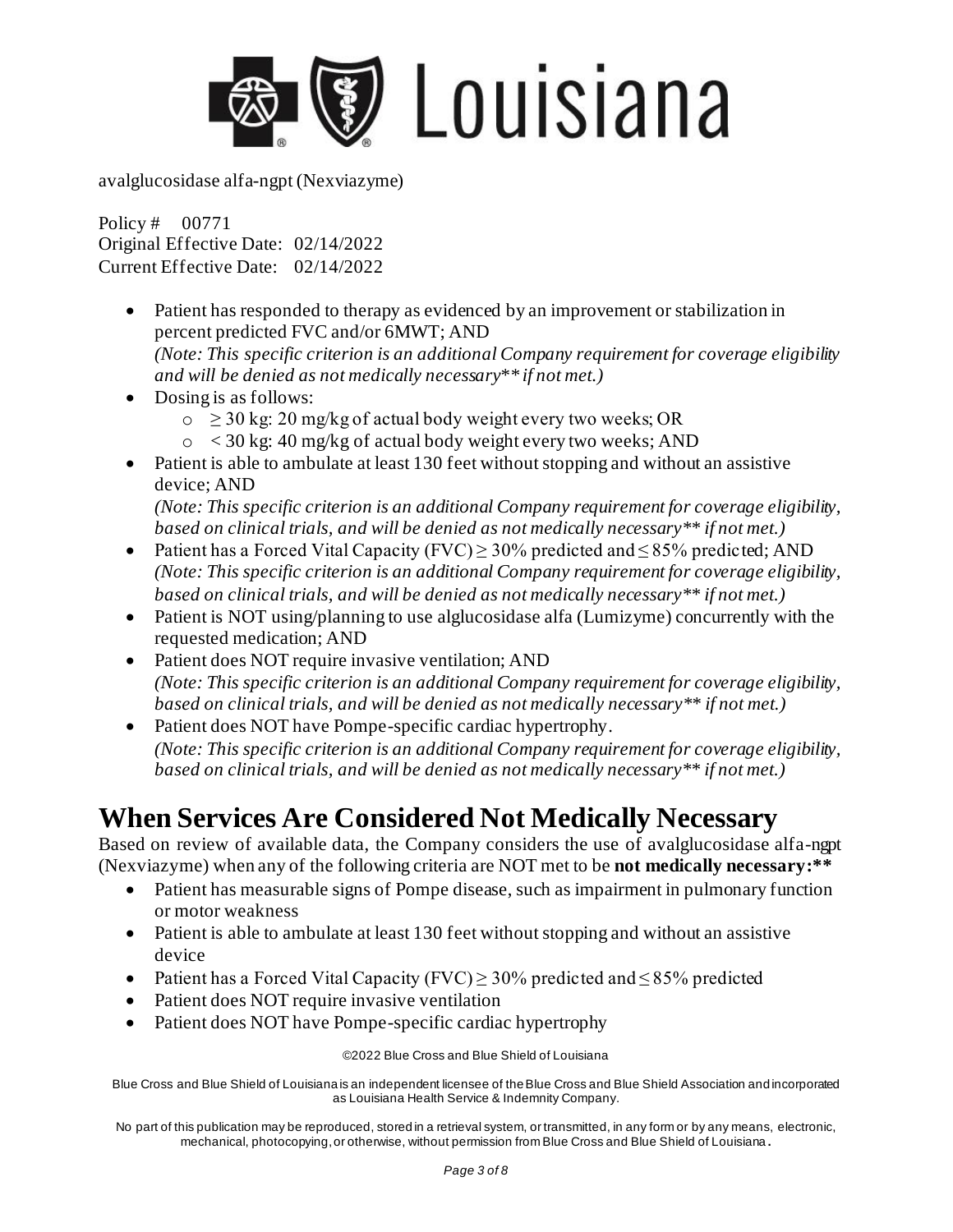

Policy # 00771 Original Effective Date: 02/14/2022 Current Effective Date: 02/14/2022

- Patient has responded to therapy as evidenced by an improvement or stabilization in percent predicted FVC and/or 6MWT; AND *(Note: This specific criterion is an additional Company requirement for coverage eligibility*
- *and will be denied as not medically necessary\*\* if not met.)*  • Dosing is as follows:
	- $\circ \geq 30$  kg: 20 mg/kg of actual body weight every two weeks; OR
	- $\circ$  < 30 kg: 40 mg/kg of actual body weight every two weeks; AND
- Patient is able to ambulate at least 130 feet without stopping and without an assistive device; AND

*(Note: This specific criterion is an additional Company requirement for coverage eligibility, based on clinical trials, and will be denied as not medically necessary\*\* if not met.)* 

- Patient has a Forced Vital Capacity (FVC) ≥ 30% predicted and ≤ 85% predicted; AND *(Note: This specific criterion is an additional Company requirement for coverage eligibility, based on clinical trials, and will be denied as not medically necessary\*\* if not met.)*
- Patient is NOT using/planning to use alglucosidase alfa (Lumizyme) concurrently with the requested medication; AND
- Patient does NOT require invasive ventilation; AND *(Note: This specific criterion is an additional Company requirement for coverage eligibility, based on clinical trials, and will be denied as not medically necessary\*\* if not met.)*
- Patient does NOT have Pompe-specific cardiac hypertrophy. *(Note: This specific criterion is an additional Company requirement for coverage eligibility, based on clinical trials, and will be denied as not medically necessary\*\* if not met.)*

# **When Services Are Considered Not Medically Necessary**

Based on review of available data, the Company considers the use of avalglucosidase alfa-ngpt (Nexviazyme) when any of the following criteria are NOT met to be **not medically necessary:\*\***

- Patient has measurable signs of Pompe disease, such as impairment in pulmonary function or motor weakness
- Patient is able to ambulate at least 130 feet without stopping and without an assistive device
- Patient has a Forced Vital Capacity (FVC) > 30% predicted and  $\leq$  85% predicted
- Patient does NOT require invasive ventilation
- Patient does NOT have Pompe-specific cardiac hypertrophy

©2022 Blue Cross and Blue Shield of Louisiana

Blue Cross and Blue Shield of Louisiana is an independent licensee of the Blue Cross and Blue Shield Association and incorporated as Louisiana Health Service & Indemnity Company.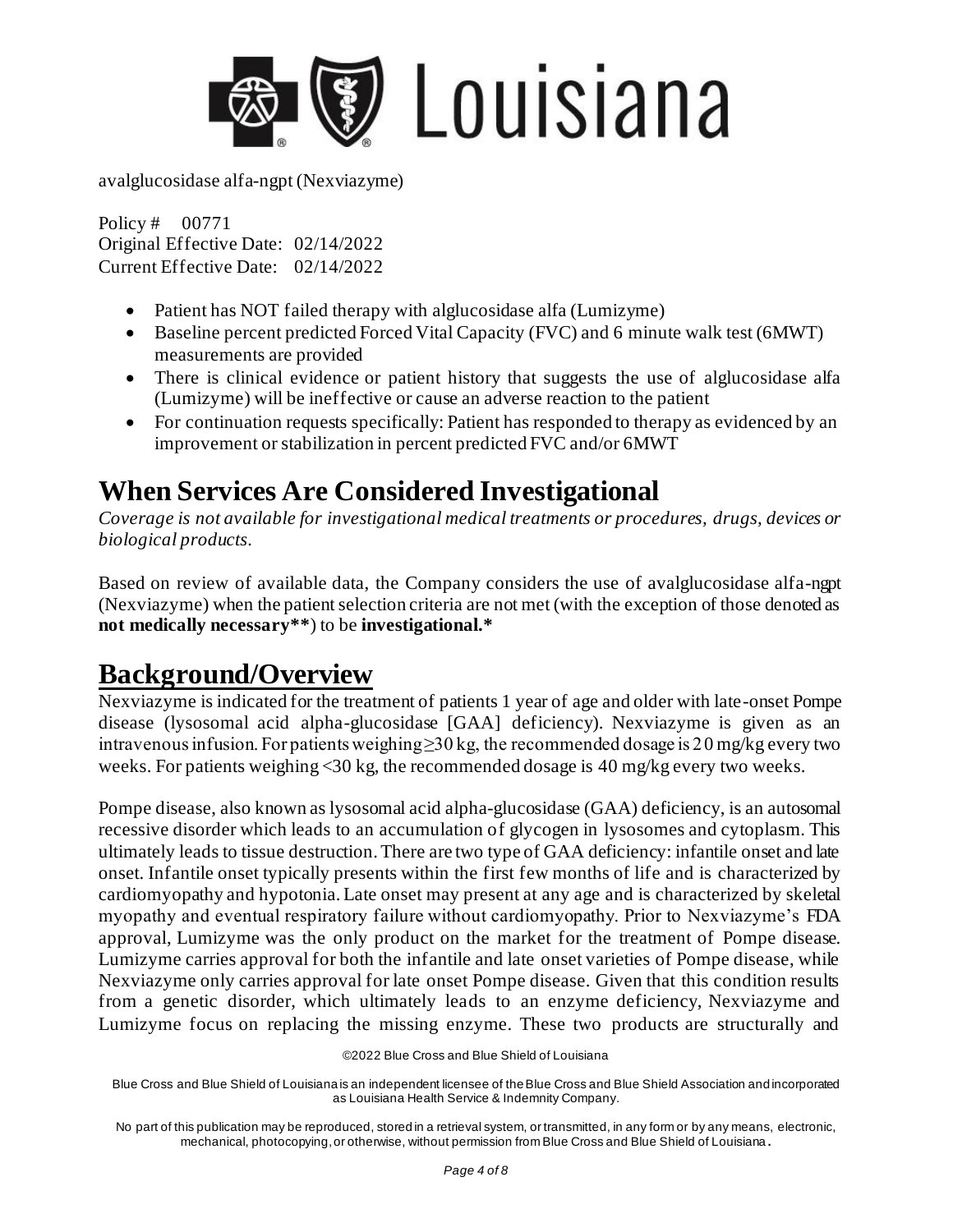

Policy # 00771 Original Effective Date: 02/14/2022 Current Effective Date: 02/14/2022

- Patient has NOT failed therapy with alglucosidase alfa (Lumizyme)
- Baseline percent predicted Forced Vital Capacity (FVC) and 6 minute walk test (6MWT) measurements are provided
- There is clinical evidence or patient history that suggests the use of alglucosidase alfa (Lumizyme) will be ineffective or cause an adverse reaction to the patient
- For continuation requests specifically: Patient has responded to therapy as evidenced by an improvement or stabilization in percent predicted FVC and/or 6MWT

# **When Services Are Considered Investigational**

*Coverage is not available for investigational medical treatments or procedures, drugs, devices or biological products.* 

Based on review of available data, the Company considers the use of avalglucosidase alfa-ngpt (Nexviazyme) when the patient selection criteria are not met (with the exception of those denoted as **not medically necessary\*\***) to be **investigational.\***

## **Background/Overview**

Nexviazyme is indicated for the treatment of patients 1 year of age and older with late-onset Pompe disease (lysosomal acid alpha-glucosidase [GAA] deficiency). Nexviazyme is given as an intravenous infusion. For patients weighing  $\geq$  30 kg, the recommended dosage is 20 mg/kg every two weeks. For patients weighing  $\langle 30 \text{ kg} \rangle$ , the recommended dosage is 40 mg/kg every two weeks.

Pompe disease, also known as lysosomal acid alpha-glucosidase (GAA) deficiency, is an autosomal recessive disorder which leads to an accumulation of glycogen in lysosomes and cytoplasm. This ultimately leads to tissue destruction. There are two type of GAA deficiency: infantile onset and late onset. Infantile onset typically presents within the first few months of life and is characterized by cardiomyopathy and hypotonia. Late onset may present at any age and is characterized by skeletal myopathy and eventual respiratory failure without cardiomyopathy. Prior to Nexviazyme's FDA approval, Lumizyme was the only product on the market for the treatment of Pompe disease. Lumizyme carries approval for both the infantile and late onset varieties of Pompe disease, while Nexviazyme only carries approval for late onset Pompe disease. Given that this condition results from a genetic disorder, which ultimately leads to an enzyme deficiency, Nexviazyme and Lumizyme focus on replacing the missing enzyme. These two products are structurally and

<sup>©2022</sup> Blue Cross and Blue Shield of Louisiana

Blue Cross and Blue Shield of Louisiana is an independent licensee of the Blue Cross and Blue Shield Association and incorporated as Louisiana Health Service & Indemnity Company.

No part of this publication may be reproduced, stored in a retrieval system, or transmitted, in any form or by any means, electronic, mechanical, photocopying, or otherwise, without permission from Blue Cross and Blue Shield of Louisiana **.**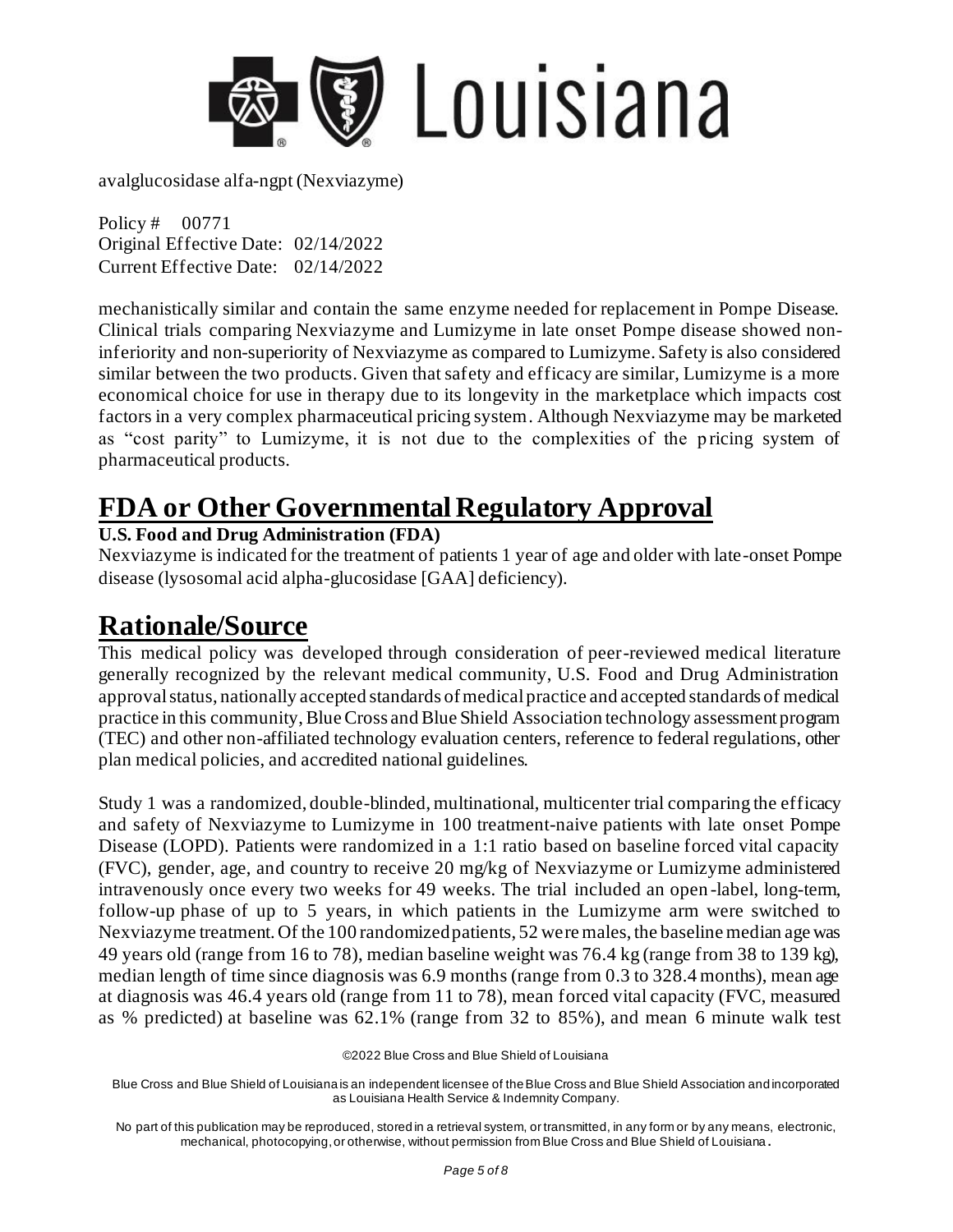

Policy # 00771 Original Effective Date: 02/14/2022 Current Effective Date: 02/14/2022

mechanistically similar and contain the same enzyme needed for replacement in Pompe Disease. Clinical trials comparing Nexviazyme and Lumizyme in late onset Pompe disease showed noninferiority and non-superiority of Nexviazyme as compared to Lumizyme. Safety is also considered similar between the two products. Given that safety and efficacy are similar, Lumizyme is a more economical choice for use in therapy due to its longevity in the marketplace which impacts cost factors in a very complex pharmaceutical pricing system. Although Nexviazyme may be marketed as "cost parity" to Lumizyme, it is not due to the complexities of the pricing system of pharmaceutical products.

## **FDA or Other Governmental Regulatory Approval**

### **U.S. Food and Drug Administration (FDA)**

Nexviazyme is indicated for the treatment of patients 1 year of age and older with late-onset Pompe disease (lysosomal acid alpha-glucosidase [GAA] deficiency).

### **Rationale/Source**

This medical policy was developed through consideration of peer-reviewed medical literature generally recognized by the relevant medical community, U.S. Food and Drug Administration approval status, nationally accepted standards of medical practice and accepted standards of medical practice in this community, Blue Cross and Blue Shield Association technology assessment program (TEC) and other non-affiliated technology evaluation centers, reference to federal regulations, other plan medical policies, and accredited national guidelines.

Study 1 was a randomized, double-blinded, multinational, multicenter trial comparing the efficacy and safety of Nexviazyme to Lumizyme in 100 treatment-naive patients with late onset Pompe Disease (LOPD). Patients were randomized in a 1:1 ratio based on baseline forced vital capacity (FVC), gender, age, and country to receive 20 mg/kg of Nexviazyme or Lumizyme administered intravenously once every two weeks for 49 weeks. The trial included an open -label, long-term, follow-up phase of up to 5 years, in which patients in the Lumizyme arm were switched to Nexviazyme treatment. Of the 100 randomized patients, 52 were males, the baseline median age was 49 years old (range from 16 to 78), median baseline weight was 76.4 kg (range from 38 to 139 kg), median length of time since diagnosis was 6.9 months (range from 0.3 to 328.4 months), mean age at diagnosis was 46.4 years old (range from 11 to 78), mean forced vital capacity (FVC, measured as % predicted) at baseline was 62.1% (range from 32 to 85%), and mean 6 minute walk test

©2022 Blue Cross and Blue Shield of Louisiana

Blue Cross and Blue Shield of Louisiana is an independent licensee of the Blue Cross and Blue Shield Association and incorporated as Louisiana Health Service & Indemnity Company.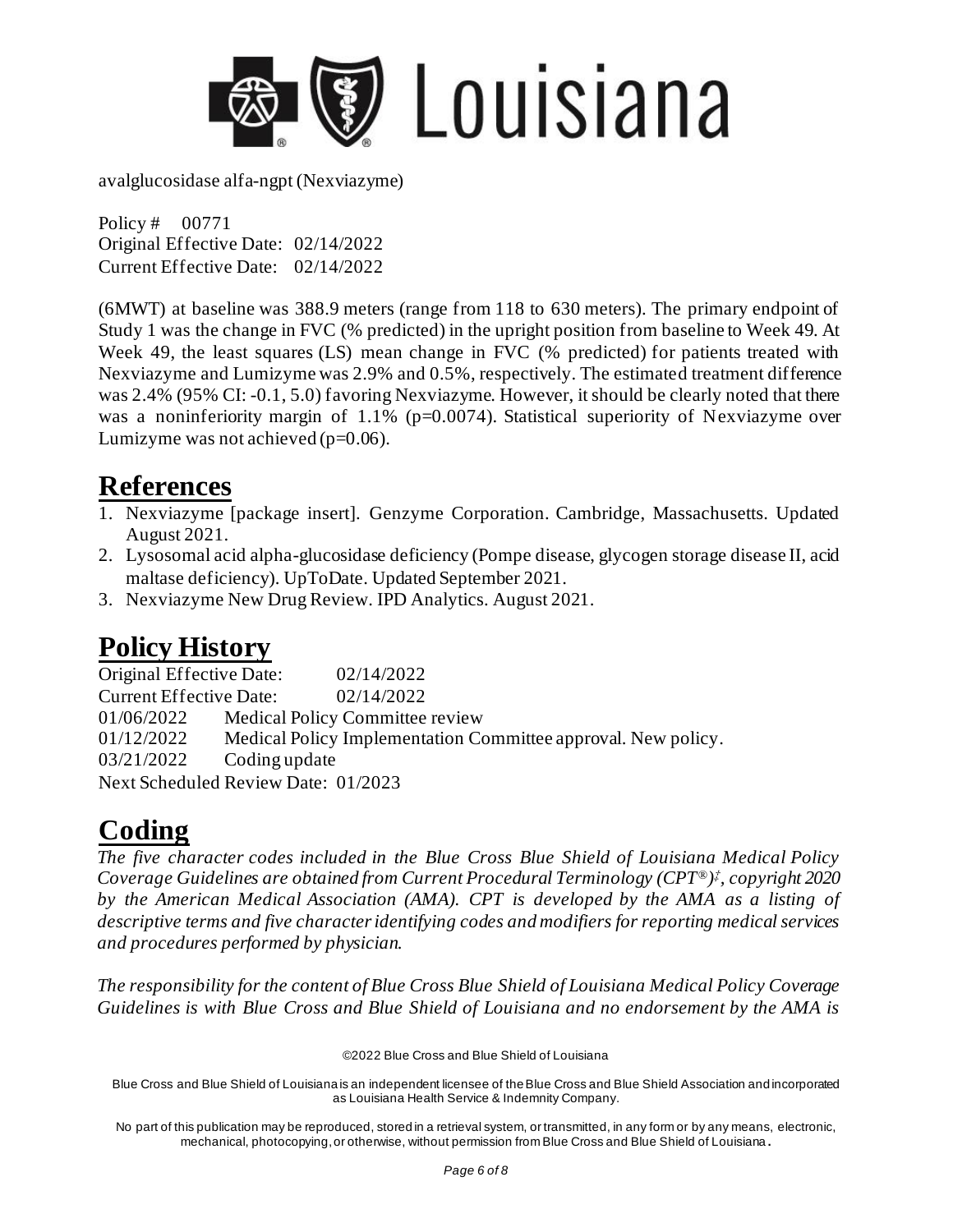

Policy # 00771 Original Effective Date: 02/14/2022 Current Effective Date: 02/14/2022

(6MWT) at baseline was 388.9 meters (range from 118 to 630 meters). The primary endpoint of Study 1 was the change in FVC (% predicted) in the upright position from baseline to Week 49. At Week 49, the least squares (LS) mean change in FVC (% predicted) for patients treated with Nexviazyme and Lumizyme was 2.9% and 0.5%, respectively. The estimated treatment difference was 2.4% (95% CI: -0.1, 5.0) favoring Nexviazyme. However, it should be clearly noted that there was a noninferiority margin of  $1.1\%$  (p=0.0074). Statistical superiority of Nexviazyme over Lumizyme was not achieved  $(p=0.06)$ .

### **References**

- 1. Nexviazyme [package insert]. Genzyme Corporation. Cambridge, Massachusetts. Updated August 2021.
- 2. Lysosomal acid alpha-glucosidase deficiency (Pompe disease, glycogen storage disease II, acid maltase deficiency). UpToDate. Updated September 2021.
- 3. Nexviazyme New Drug Review. IPD Analytics. August 2021.

# **Policy History**

Original Effective Date: 02/14/2022 Current Effective Date: 02/14/2022 01/06/2022 Medical Policy Committee review 01/12/2022 Medical Policy Implementation Committee approval. New policy. 03/21/2022 Coding update Next Scheduled Review Date: 01/2023

# **Coding**

*The five character codes included in the Blue Cross Blue Shield of Louisiana Medical Policy Coverage Guidelines are obtained from Current Procedural Terminology (CPT®) ‡ , copyright 2020 by the American Medical Association (AMA). CPT is developed by the AMA as a listing of descriptive terms and five character identifying codes and modifiers for reporting medical services and procedures performed by physician.* 

*The responsibility for the content of Blue Cross Blue Shield of Louisiana Medical Policy Coverage Guidelines is with Blue Cross and Blue Shield of Louisiana and no endorsement by the AMA is* 

©2022 Blue Cross and Blue Shield of Louisiana

Blue Cross and Blue Shield of Louisiana is an independent licensee of the Blue Cross and Blue Shield Association and incorporated as Louisiana Health Service & Indemnity Company.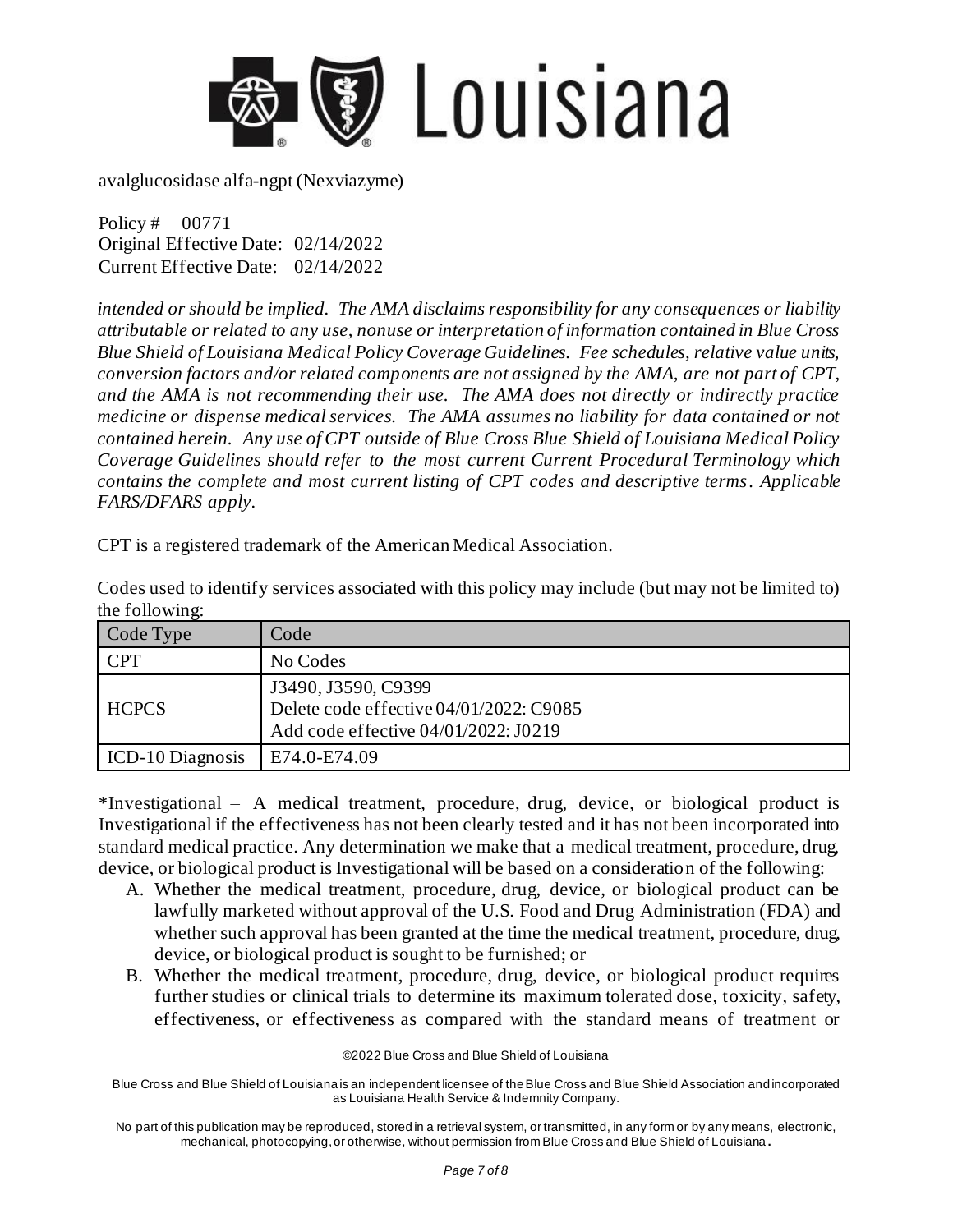

Policy # 00771 Original Effective Date: 02/14/2022 Current Effective Date: 02/14/2022

*intended or should be implied. The AMA disclaims responsibility for any consequences or liability attributable or related to any use, nonuse or interpretation of information contained in Blue Cross Blue Shield of Louisiana Medical Policy Coverage Guidelines. Fee schedules, relative value units, conversion factors and/or related components are not assigned by the AMA, are not part of CPT, and the AMA is not recommending their use. The AMA does not directly or indirectly practice medicine or dispense medical services. The AMA assumes no liability for data contained or not contained herein. Any use of CPT outside of Blue Cross Blue Shield of Louisiana Medical Policy Coverage Guidelines should refer to the most current Current Procedural Terminology which contains the complete and most current listing of CPT codes and descriptive terms. Applicable FARS/DFARS apply.* 

CPT is a registered trademark of the American Medical Association.

| Codes used to identify services associated with this policy may include (but may not be limited to) |  |  |
|-----------------------------------------------------------------------------------------------------|--|--|
| the following:                                                                                      |  |  |

| Code Type        | Code                                                                                                   |
|------------------|--------------------------------------------------------------------------------------------------------|
| CPT              | No Codes                                                                                               |
| <b>HCPCS</b>     | J3490, J3590, C9399<br>Delete code effective 04/01/2022: C9085<br>Add code effective 04/01/2022: J0219 |
| ICD-10 Diagnosis | E74.0-E74.09                                                                                           |

\*Investigational – A medical treatment, procedure, drug, device, or biological product is Investigational if the effectiveness has not been clearly tested and it has not been incorporated into standard medical practice. Any determination we make that a medical treatment, procedure, drug, device, or biological product is Investigational will be based on a consideration of the following:

- A. Whether the medical treatment, procedure, drug, device, or biological product can be lawfully marketed without approval of the U.S. Food and Drug Administration (FDA) and whether such approval has been granted at the time the medical treatment, procedure, drug, device, or biological product is sought to be furnished; or
- B. Whether the medical treatment, procedure, drug, device, or biological product requires further studies or clinical trials to determine its maximum tolerated dose, toxicity, safety, effectiveness, or effectiveness as compared with the standard means of treatment or

©2022 Blue Cross and Blue Shield of Louisiana

Blue Cross and Blue Shield of Louisiana is an independent licensee of the Blue Cross and Blue Shield Association and incorporated as Louisiana Health Service & Indemnity Company.

No part of this publication may be reproduced, stored in a retrieval system, or transmitted, in any form or by any means, electronic, mechanical, photocopying, or otherwise, without permission from Blue Cross and Blue Shield of Louisiana **.**